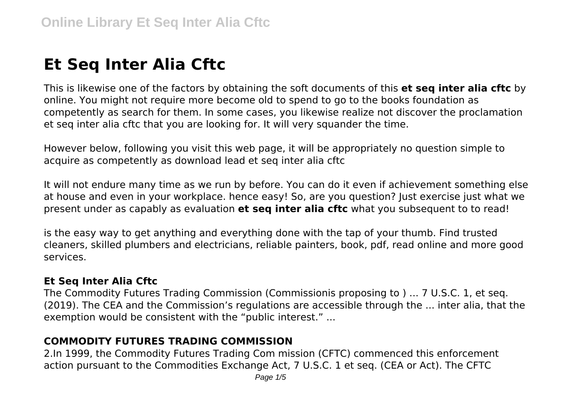# **Et Seq Inter Alia Cftc**

This is likewise one of the factors by obtaining the soft documents of this **et seq inter alia cftc** by online. You might not require more become old to spend to go to the books foundation as competently as search for them. In some cases, you likewise realize not discover the proclamation et seq inter alia cftc that you are looking for. It will very squander the time.

However below, following you visit this web page, it will be appropriately no question simple to acquire as competently as download lead et seq inter alia cftc

It will not endure many time as we run by before. You can do it even if achievement something else at house and even in your workplace. hence easy! So, are you question? Just exercise just what we present under as capably as evaluation **et seq inter alia cftc** what you subsequent to to read!

is the easy way to get anything and everything done with the tap of your thumb. Find trusted cleaners, skilled plumbers and electricians, reliable painters, book, pdf, read online and more good services.

#### **Et Seq Inter Alia Cftc**

The Commodity Futures Trading Commission (Commissionis proposing to ) ... 7 U.S.C. 1, et seq. (2019). The CEA and the Commission's regulations are accessible through the ... inter alia, that the exemption would be consistent with the "public interest." ...

## **COMMODITY FUTURES TRADING COMMISSION**

2.In 1999, the Commodity Futures Trading Com mission (CFTC) commenced this enforcement action pursuant to the Commodities Exchange Act, 7 U.S.C. 1 et seq. (CEA or Act). The CFTC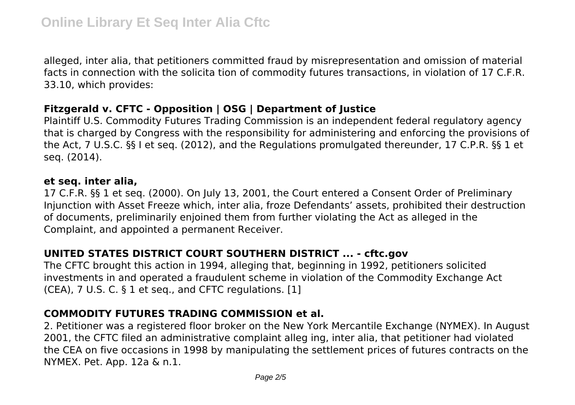alleged, inter alia, that petitioners committed fraud by misrepresentation and omission of material facts in connection with the solicita tion of commodity futures transactions, in violation of 17 C.F.R. 33.10, which provides:

### **Fitzgerald v. CFTC - Opposition | OSG | Department of Justice**

Plaintiff U.S. Commodity Futures Trading Commission is an independent federal regulatory agency that is charged by Congress with the responsibility for administering and enforcing the provisions of the Act, 7 U.S.C. §§ I et seq. (2012), and the Regulations promulgated thereunder, 17 C.P.R. §§ 1 et seq. (2014).

#### **et seq. inter alia,**

17 C.F.R. §§ 1 et seq. (2000). On July 13, 2001, the Court entered a Consent Order of Preliminary Injunction with Asset Freeze which, inter alia, froze Defendants' assets, prohibited their destruction of documents, preliminarily enjoined them from further violating the Act as alleged in the Complaint, and appointed a permanent Receiver.

### **UNITED STATES DISTRICT COURT SOUTHERN DISTRICT ... - cftc.gov**

The CFTC brought this action in 1994, alleging that, beginning in 1992, petitioners solicited investments in and operated a fraudulent scheme in violation of the Commodity Exchange Act (CEA), 7 U.S. C. § 1 et seq., and CFTC regulations. [1]

### **COMMODITY FUTURES TRADING COMMISSION et al.**

2. Petitioner was a registered floor broker on the New York Mercantile Exchange (NYMEX). In August 2001, the CFTC filed an administrative complaint alleg ing, inter alia, that petitioner had violated the CEA on five occasions in 1998 by manipulating the settlement prices of futures contracts on the NYMEX. Pet. App. 12a & n.1.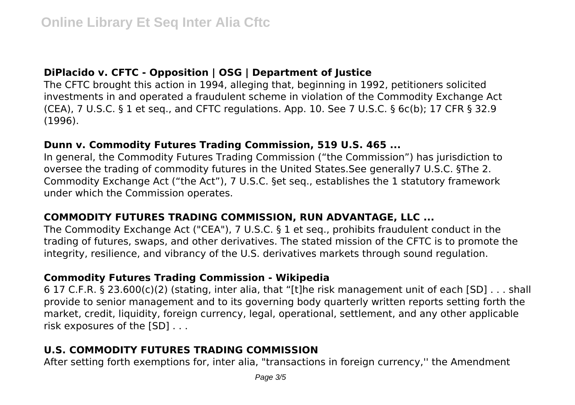## **DiPlacido v. CFTC - Opposition | OSG | Department of Justice**

The CFTC brought this action in 1994, alleging that, beginning in 1992, petitioners solicited investments in and operated a fraudulent scheme in violation of the Commodity Exchange Act (CEA), 7 U.S.C. § 1 et seq., and CFTC regulations. App. 10. See 7 U.S.C. § 6c(b); 17 CFR § 32.9 (1996).

#### **Dunn v. Commodity Futures Trading Commission, 519 U.S. 465 ...**

In general, the Commodity Futures Trading Commission ("the Commission") has jurisdiction to oversee the trading of commodity futures in the United States.See generally7 U.S.C. §The 2. Commodity Exchange Act ("the Act"), 7 U.S.C. §et seq., establishes the 1 statutory framework under which the Commission operates.

### **COMMODITY FUTURES TRADING COMMISSION, RUN ADVANTAGE, LLC ...**

The Commodity Exchange Act ("CEA"), 7 U.S.C. § 1 et seq., prohibits fraudulent conduct in the trading of futures, swaps, and other derivatives. The stated mission of the CFTC is to promote the integrity, resilience, and vibrancy of the U.S. derivatives markets through sound regulation.

### **Commodity Futures Trading Commission - Wikipedia**

6 17 C.F.R. § 23.600(c)(2) (stating, inter alia, that "[t]he risk management unit of each [SD] . . . shall provide to senior management and to its governing body quarterly written reports setting forth the market, credit, liquidity, foreign currency, legal, operational, settlement, and any other applicable risk exposures of the [SD] . . .

## **U.S. COMMODITY FUTURES TRADING COMMISSION**

After setting forth exemptions for, inter alia, "transactions in foreign currency,'' the Amendment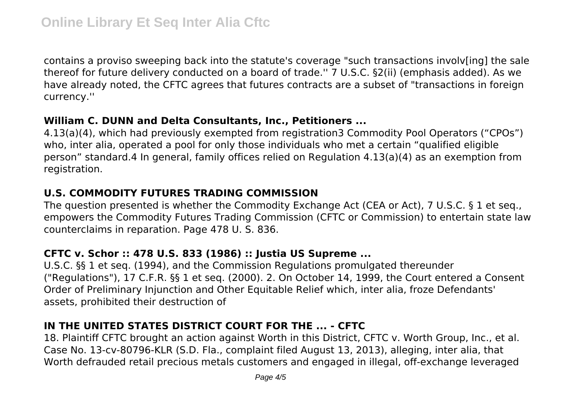contains a proviso sweeping back into the statute's coverage "such transactions involv[ing] the sale thereof for future delivery conducted on a board of trade.'' 7 U.S.C. §2(ii) (emphasis added). As we have already noted, the CFTC agrees that futures contracts are a subset of "transactions in foreign currency.''

#### **William C. DUNN and Delta Consultants, Inc., Petitioners ...**

4.13(a)(4), which had previously exempted from registration3 Commodity Pool Operators ("CPOs") who, inter alia, operated a pool for only those individuals who met a certain "qualified eligible person" standard.4 In general, family offices relied on Regulation 4.13(a)(4) as an exemption from registration.

### **U.S. COMMODITY FUTURES TRADING COMMISSION**

The question presented is whether the Commodity Exchange Act (CEA or Act), 7 U.S.C. § 1 et seq., empowers the Commodity Futures Trading Commission (CFTC or Commission) to entertain state law counterclaims in reparation. Page 478 U. S. 836.

## **CFTC v. Schor :: 478 U.S. 833 (1986) :: Justia US Supreme ...**

U.S.C. §§ 1 et seq. (1994), and the Commission Regulations promulgated thereunder ("Regulations"), 17 C.F.R. §§ 1 et seq. (2000). 2. On October 14, 1999, the Court entered a Consent Order of Preliminary Injunction and Other Equitable Relief which, inter alia, froze Defendants' assets, prohibited their destruction of

## **IN THE UNITED STATES DISTRICT COURT FOR THE ... - CFTC**

18. Plaintiff CFTC brought an action against Worth in this District, CFTC v. Worth Group, Inc., et al. Case No. 13-cv-80796-KLR (S.D. Fla., complaint filed August 13, 2013), alleging, inter alia, that Worth defrauded retail precious metals customers and engaged in illegal, off-exchange leveraged